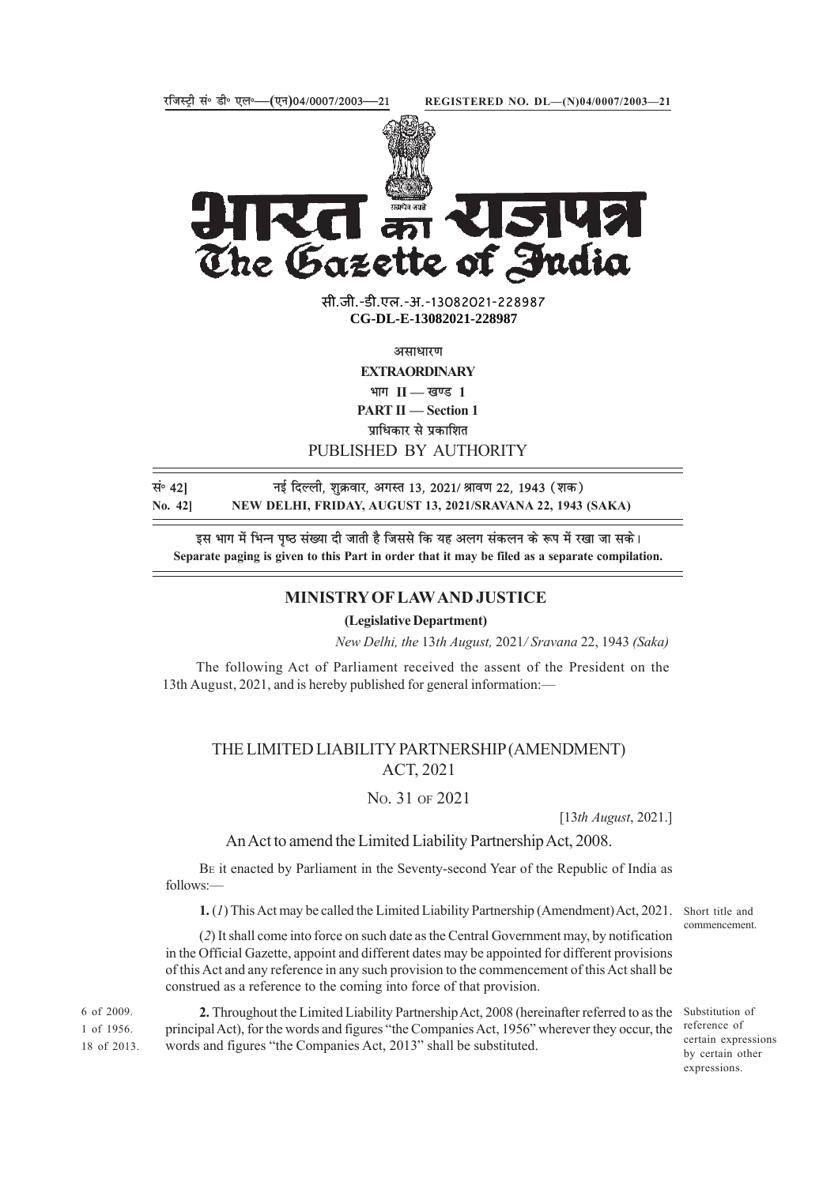

The Gazette of India सी.जी.-डी.एल.-अ.-13082021-22898<mark>7</mark>

**xxxGIDExxx CG-DL-E-13082021-228987**

असाधारण

**EXTRAORDINARY**

 $\frac{1}{2}$  भाग II — खण्ड 1

**PART II — Section 1**

**प्राधिकार से प्रकाशित** 

### PUBLISHED BY AUTHORITY

सं<sup>0</sup> 421 **120 को नई दिल्ली, शुक्रवार, अगस्त 13, 2021/ श्रावण 22, 1943 (शक) No. 42] NEW DELHI, FRIDAY, AUGUST 13, 2021/SRAVANA 22, 1943 (SAKA)**

इस भाग में भिन्न पृष्ठ संख्या दी जाती है जिससे कि यह अलग संकलन के रूप में रखा जा सके। **Separate paging is given to this Part in order that it may be filed as a separate compilation.**

## **MINISTRY OF LAW AND JUSTICE**

**(Legislative Department)**

*New Delhi, the* 13*th August,* 2021*/ Sravana* 22, 1943 *(Saka)*

The following Act of Parliament received the assent of the President on the 13th August, 2021, and is hereby published for general information:—

# THE LIMITED LIABILITY PARTNERSHIP (AMENDMENT) ACT, 2021

# NO. 31 OF 2021

[13*th August*, 2021.]

## An Act to amend the Limited Liability Partnership Act, 2008.

BE it enacted by Parliament in the Seventy-second Year of the Republic of India as follows:—

**1.** (*1*) This Act may be called the Limited Liability Partnership (Amendment) Act, 2021. Short title and

(*2*) It shall come into force on such date as the Central Government may, by notification in the Official Gazette, appoint and different dates may be appointed for different provisions of this Act and any reference in any such provision to the commencement of this Act shall be construed as a reference to the coming into force of that provision.

**2.** Throughout the Limited Liability Partnership Act, 2008 (hereinafter referred to as the principal Act), for the words and figures "the Companies Act, 1956" wherever they occur, the words and figures "the Companies Act, 2013" shall be substituted. 6 of 2009. 1 of 1956. 18 of 2013.

commencement.

Substitution of reference of certain expressions by certain other expressions.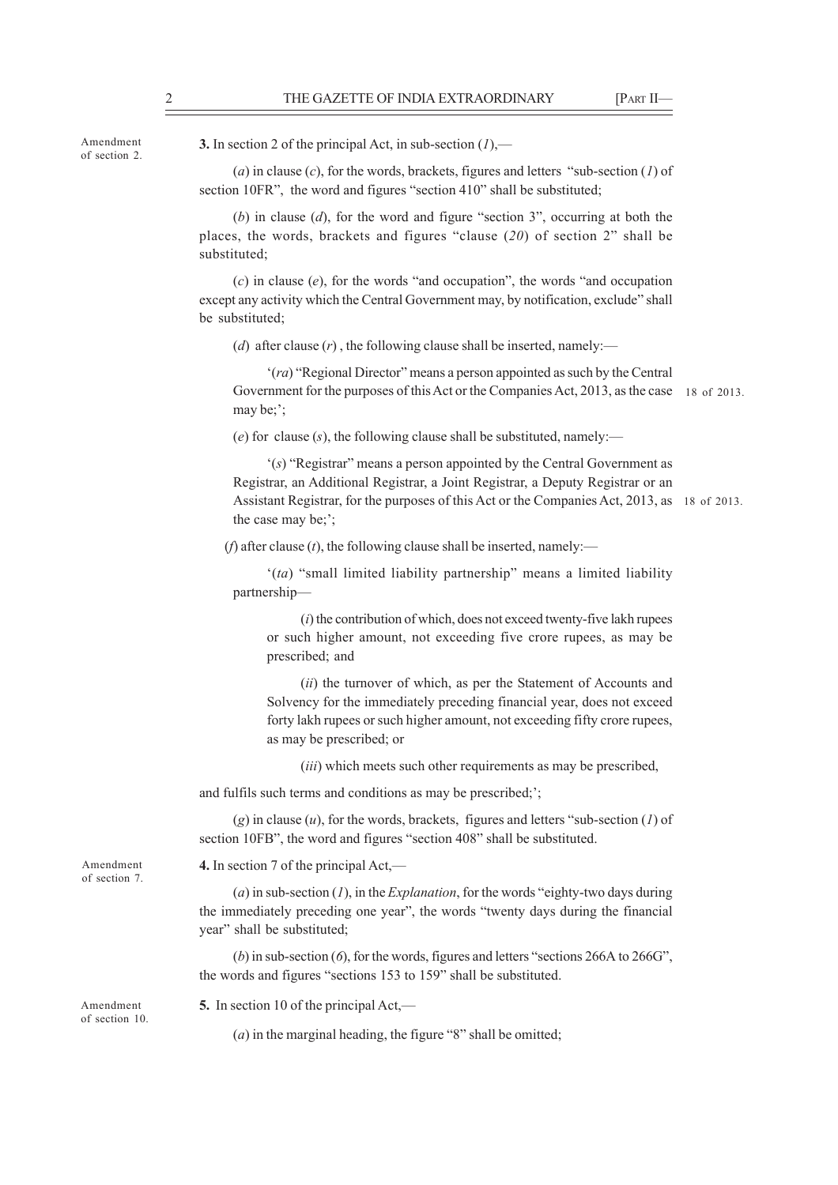Amendment of section 2. **3.** In section 2 of the principal Act, in sub-section (*1*),—

(*a*) in clause (*c*), for the words, brackets, figures and letters "sub-section (*1*) of section 10FR", the word and figures "section 410" shall be substituted;

(*b*) in clause (*d*), for the word and figure "section 3", occurring at both the places, the words, brackets and figures "clause (*20*) of section 2" shall be substituted;

(*c*) in clause (*e*), for the words "and occupation", the words "and occupation except any activity which the Central Government may, by notification, exclude" shall be substituted;

(*d*) after clause  $(r)$ , the following clause shall be inserted, namely:—

'(*ra*) "Regional Director" means a person appointed as such by the Central Government for the purposes of this Act or the Companies Act, 2013, as the case 18 of 2013.may be;';

(*e*) for clause (*s*), the following clause shall be substituted, namely:—

'(*s*) "Registrar" means a person appointed by the Central Government as Registrar, an Additional Registrar, a Joint Registrar, a Deputy Registrar or an Assistant Registrar, for the purposes of this Act or the Companies Act, 2013, as 18 of 2013. the case may be;';

( $f$ ) after clause ( $t$ ), the following clause shall be inserted, namely:—

'(*ta*) "small limited liability partnership" means a limited liability partnership—

(*i*) the contribution of which, does not exceed twenty-five lakh rupees or such higher amount, not exceeding five crore rupees, as may be prescribed; and

(*ii*) the turnover of which, as per the Statement of Accounts and Solvency for the immediately preceding financial year, does not exceed forty lakh rupees or such higher amount, not exceeding fifty crore rupees, as may be prescribed; or

(*iii*) which meets such other requirements as may be prescribed,

and fulfils such terms and conditions as may be prescribed;';

(*g*) in clause (*u*), for the words, brackets, figures and letters "sub-section (*1*) of section 10FB", the word and figures "section 408" shall be substituted.

**4.** In section 7 of the principal Act,—

(*a*) in sub-section (*1*), in the *Explanation*, for the words "eighty-two days during the immediately preceding one year", the words "twenty days during the financial year" shall be substituted;

(*b*) in sub-section (*6*), for the words, figures and letters "sections 266A to 266G", the words and figures "sections 153 to 159" shall be substituted.

Amendment of section 10.

Amendment of section 7.

**5.** In section 10 of the principal Act,—

(*a*) in the marginal heading, the figure "8" shall be omitted;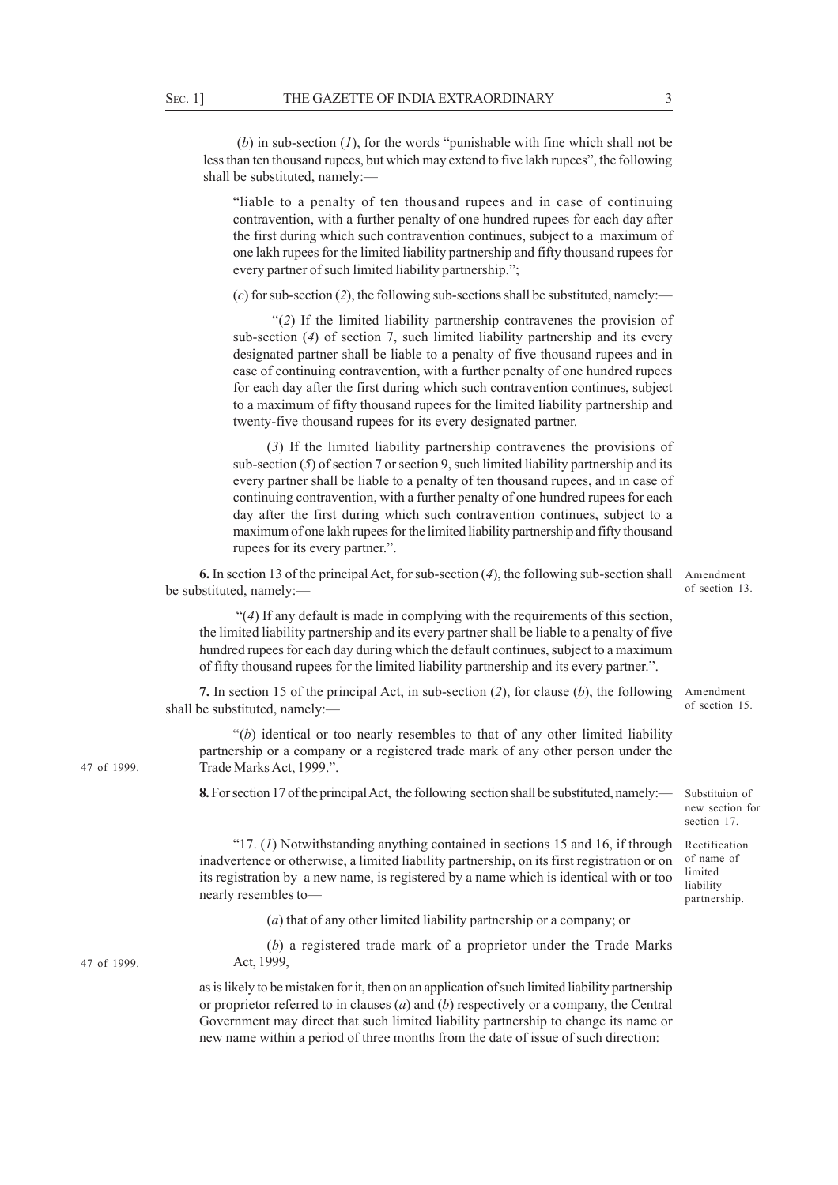(*b*) in sub-section (*1*), for the words "punishable with fine which shall not be less than ten thousand rupees, but which may extend to five lakh rupees", the following shall be substituted, namely:—

"liable to a penalty of ten thousand rupees and in case of continuing contravention, with a further penalty of one hundred rupees for each day after the first during which such contravention continues, subject to a maximum of one lakh rupees for the limited liability partnership and fifty thousand rupees for every partner of such limited liability partnership.";

(*c*) for sub-section (*2*), the following sub-sections shall be substituted, namely:—

 "(*2*) If the limited liability partnership contravenes the provision of sub-section (*4*) of section 7, such limited liability partnership and its every designated partner shall be liable to a penalty of five thousand rupees and in case of continuing contravention, with a further penalty of one hundred rupees for each day after the first during which such contravention continues, subject to a maximum of fifty thousand rupees for the limited liability partnership and twenty-five thousand rupees for its every designated partner.

(*3*) If the limited liability partnership contravenes the provisions of sub-section (*5*) of section 7 or section 9, such limited liability partnership and its every partner shall be liable to a penalty of ten thousand rupees, and in case of continuing contravention, with a further penalty of one hundred rupees for each day after the first during which such contravention continues, subject to a maximum of one lakh rupees for the limited liability partnership and fifty thousand rupees for its every partner.".

**6.** In section 13 of the principal Act, for sub-section (*4*), the following sub-section shall Amendment be substituted, namely:—

of section 13.

 "(*4*) If any default is made in complying with the requirements of this section, the limited liability partnership and its every partner shall be liable to a penalty of five hundred rupees for each day during which the default continues, subject to a maximum of fifty thousand rupees for the limited liability partnership and its every partner.".

**7.** In section 15 of the principal Act, in sub-section (*2*), for clause (*b*), the following Amendment shall be substituted, namely:

"(*b*) identical or too nearly resembles to that of any other limited liability partnership or a company or a registered trade mark of any other person under the Trade Marks Act, 1999.".

**8.** For section 17 of the principal Act, the following section shall be substituted, namely:—

"17. (*1*) Notwithstanding anything contained in sections 15 and 16, if through inadvertence or otherwise, a limited liability partnership, on its first registration or on its registration by a new name, is registered by a name which is identical with or too nearly resembles to—

(*a*) that of any other limited liability partnership or a company; or

(*b*) a registered trade mark of a proprietor under the Trade Marks Act, 1999,

as is likely to be mistaken for it, then on an application of such limited liability partnership or proprietor referred to in clauses (*a*) and (*b*) respectively or a company, the Central Government may direct that such limited liability partnership to change its name or new name within a period of three months from the date of issue of such direction:

47 of 1999.

47 of 1999.

of section 15.

Substituion of new section for section 17.

Rectification of name of limited liability partnership.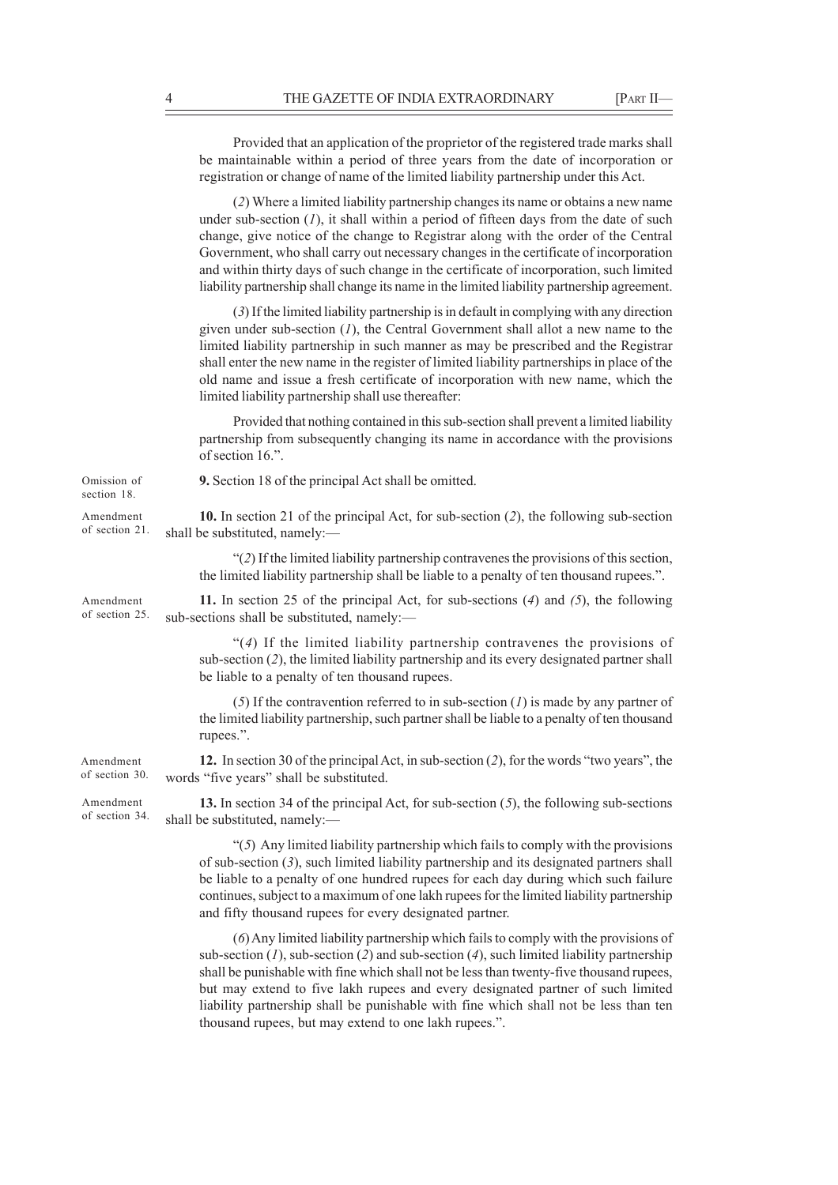Provided that an application of the proprietor of the registered trade marks shall be maintainable within a period of three years from the date of incorporation or registration or change of name of the limited liability partnership under this Act. (*2*) Where a limited liability partnership changes its name or obtains a new name under sub-section  $(1)$ , it shall within a period of fifteen days from the date of such change, give notice of the change to Registrar along with the order of the Central Government, who shall carry out necessary changes in the certificate of incorporation and within thirty days of such change in the certificate of incorporation, such limited liability partnership shall change its name in the limited liability partnership agreement. (*3*) If the limited liability partnership is in default in complying with any direction given under sub-section (*1*), the Central Government shall allot a new name to the limited liability partnership in such manner as may be prescribed and the Registrar shall enter the new name in the register of limited liability partnerships in place of the old name and issue a fresh certificate of incorporation with new name, which the limited liability partnership shall use thereafter: Provided that nothing contained in this sub-section shall prevent a limited liability partnership from subsequently changing its name in accordance with the provisions of section 16.". **9.** Section 18 of the principal Act shall be omitted. **10.** In section 21 of the principal Act, for sub-section (*2*), the following sub-section shall be substituted, namely:— "(*2*) If the limited liability partnership contravenes the provisions of this section, the limited liability partnership shall be liable to a penalty of ten thousand rupees.". **11.** In section 25 of the principal Act, for sub-sections (*4*) and *(5*), the following sub-sections shall be substituted, namely:— "(*4*) If the limited liability partnership contravenes the provisions of sub-section (*2*), the limited liability partnership and its every designated partner shall be liable to a penalty of ten thousand rupees. (*5*) If the contravention referred to in sub-section (*1*) is made by any partner of the limited liability partnership, such partner shall be liable to a penalty of ten thousand rupees.". **12.** In section 30 of the principal Act, in sub-section (*2*), for the words "two years", the words "five years" shall be substituted. **13.** In section 34 of the principal Act, for sub-section (*5*), the following sub-sections shall be substituted, namely:— "(*5*) Any limited liability partnership which fails to comply with the provisions of sub-section (*3*), such limited liability partnership and its designated partners shall be liable to a penalty of one hundred rupees for each day during which such failure continues, subject to a maximum of one lakh rupees for the limited liability partnership and fifty thousand rupees for every designated partner. (*6*) Any limited liability partnership which fails to comply with the provisions of Amendment of section 21. Amendment of section 30. Omission of section 18. Amendment of section 25. Amendment of section 34.

sub-section (*1*), sub-section (*2*) and sub-section (*4*), such limited liability partnership shall be punishable with fine which shall not be less than twenty-five thousand rupees, but may extend to five lakh rupees and every designated partner of such limited liability partnership shall be punishable with fine which shall not be less than ten thousand rupees, but may extend to one lakh rupees.".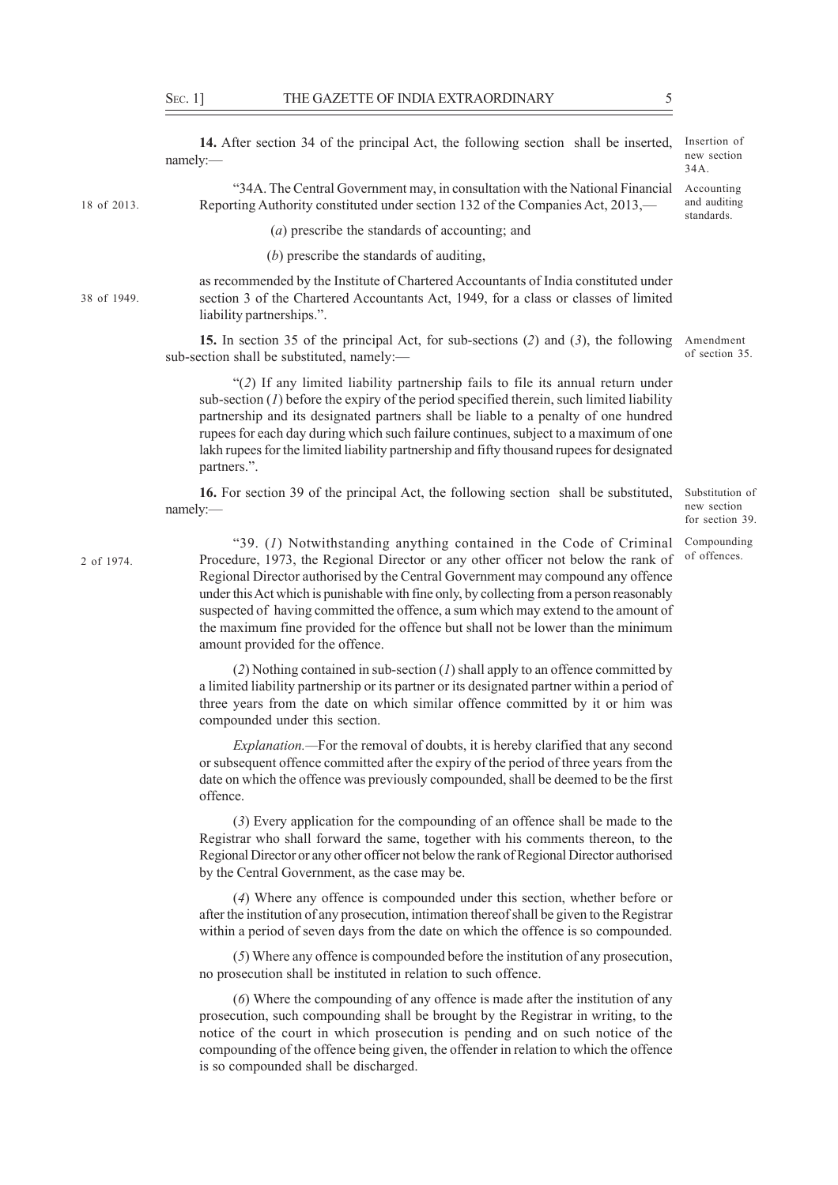namely:—

"34A. The Central Government may, in consultation with the National Financial Reporting Authority constituted under section 132 of the Companies Act, 2013,—

(*a*) prescribe the standards of accounting; and

(*b*) prescribe the standards of auditing,

38 of 1949.

18 of 2013.

as recommended by the Institute of Chartered Accountants of India constituted under section 3 of the Chartered Accountants Act, 1949, for a class or classes of limited liability partnerships.".

**15.** In section 35 of the principal Act, for sub-sections (*2*) and (*3*), the following sub-section shall be substituted, namely:—

"(*2*) If any limited liability partnership fails to file its annual return under sub-section (*1*) before the expiry of the period specified therein, such limited liability partnership and its designated partners shall be liable to a penalty of one hundred rupees for each day during which such failure continues, subject to a maximum of one lakh rupees for the limited liability partnership and fifty thousand rupees for designated partners.".

**16.** For section 39 of the principal Act, the following section shall be substituted, namely:—

"39. (*1*) Notwithstanding anything contained in the Code of Criminal Compounding 2 of 1974. Procedure, 1973, the Regional Director or any other officer not below the rank of <sup>of offences</sup>. Regional Director authorised by the Central Government may compound any offence under this Act which is punishable with fine only, by collecting from a person reasonably suspected of having committed the offence, a sum which may extend to the amount of the maximum fine provided for the offence but shall not be lower than the minimum amount provided for the offence.

> (*2*) Nothing contained in sub-section (*1*) shall apply to an offence committed by a limited liability partnership or its partner or its designated partner within a period of three years from the date on which similar offence committed by it or him was compounded under this section.

> *Explanation.—*For the removal of doubts, it is hereby clarified that any second or subsequent offence committed after the expiry of the period of three years from the date on which the offence was previously compounded, shall be deemed to be the first offence.

> (*3*) Every application for the compounding of an offence shall be made to the Registrar who shall forward the same, together with his comments thereon, to the Regional Director or any other officer not below the rank of Regional Director authorised by the Central Government, as the case may be.

> (*4*) Where any offence is compounded under this section, whether before or after the institution of any prosecution, intimation thereof shall be given to the Registrar within a period of seven days from the date on which the offence is so compounded.

> (*5*) Where any offence is compounded before the institution of any prosecution, no prosecution shall be instituted in relation to such offence.

> (*6*) Where the compounding of any offence is made after the institution of any prosecution, such compounding shall be brought by the Registrar in writing, to the notice of the court in which prosecution is pending and on such notice of the compounding of the offence being given, the offender in relation to which the offence is so compounded shall be discharged.

Accounting and auditing standards.

Amendment of section 35.

Substitution of new section for section 39.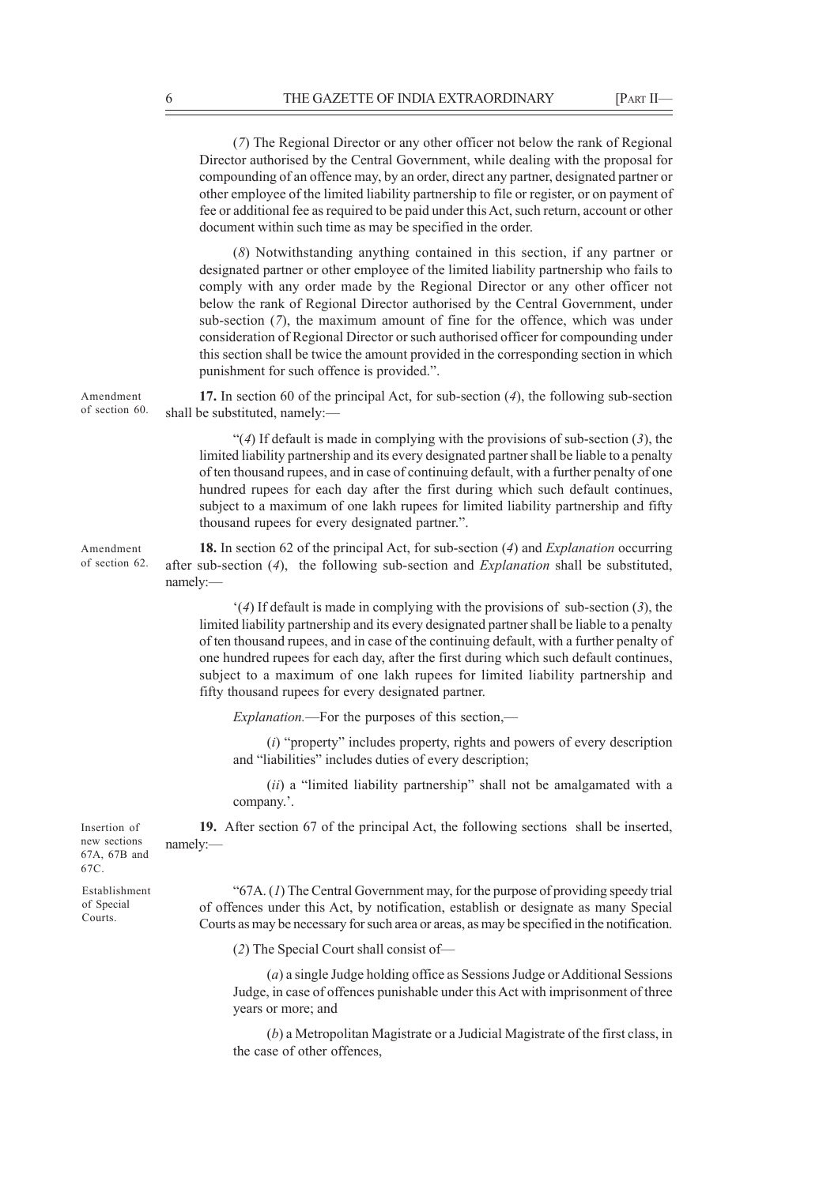(*7*) The Regional Director or any other officer not below the rank of Regional Director authorised by the Central Government, while dealing with the proposal for compounding of an offence may, by an order, direct any partner, designated partner or other employee of the limited liability partnership to file or register, or on payment of fee or additional fee as required to be paid under this Act, such return, account or other document within such time as may be specified in the order.

(*8*) Notwithstanding anything contained in this section, if any partner or designated partner or other employee of the limited liability partnership who fails to comply with any order made by the Regional Director or any other officer not below the rank of Regional Director authorised by the Central Government, under sub-section (*7*), the maximum amount of fine for the offence, which was under consideration of Regional Director or such authorised officer for compounding under this section shall be twice the amount provided in the corresponding section in which punishment for such offence is provided.".

**17.** In section 60 of the principal Act, for sub-section (*4*), the following sub-section shall be substituted, namely:—

"(*4*) If default is made in complying with the provisions of sub-section (*3*), the limited liability partnership and its every designated partner shall be liable to a penalty of ten thousand rupees, and in case of continuing default, with a further penalty of one hundred rupees for each day after the first during which such default continues, subject to a maximum of one lakh rupees for limited liability partnership and fifty thousand rupees for every designated partner.".

**18.** In section 62 of the principal Act, for sub-section (*4*) and *Explanation* occurring after sub-section (*4*), the following sub-section and *Explanation* shall be substituted, namely:—

'(*4*) If default is made in complying with the provisions of sub-section (*3*), the limited liability partnership and its every designated partner shall be liable to a penalty of ten thousand rupees, and in case of the continuing default, with a further penalty of one hundred rupees for each day, after the first during which such default continues, subject to a maximum of one lakh rupees for limited liability partnership and fifty thousand rupees for every designated partner.

*Explanation.*—For the purposes of this section,—

(*i*) "property" includes property, rights and powers of every description and "liabilities" includes duties of every description;

(*ii*) a "limited liability partnership" shall not be amalgamated with a company.'.

**19.** After section 67 of the principal Act, the following sections shall be inserted, namely:—

"67A. (*1*) The Central Government may, for the purpose of providing speedy trial of offences under this Act, by notification, establish or designate as many Special Courts as may be necessary for such area or areas, as may be specified in the notification.

(*2*) The Special Court shall consist of—

(*a*) a single Judge holding office as Sessions Judge or Additional Sessions Judge, in case of offences punishable under this Act with imprisonment of three years or more; and

(*b*) a Metropolitan Magistrate or a Judicial Magistrate of the first class, in the case of other offences,

Insertion of new sections 67A, 67B and 67C.

Establishment of Special Courts.

Amendment of section 60.

Amendment of section 62.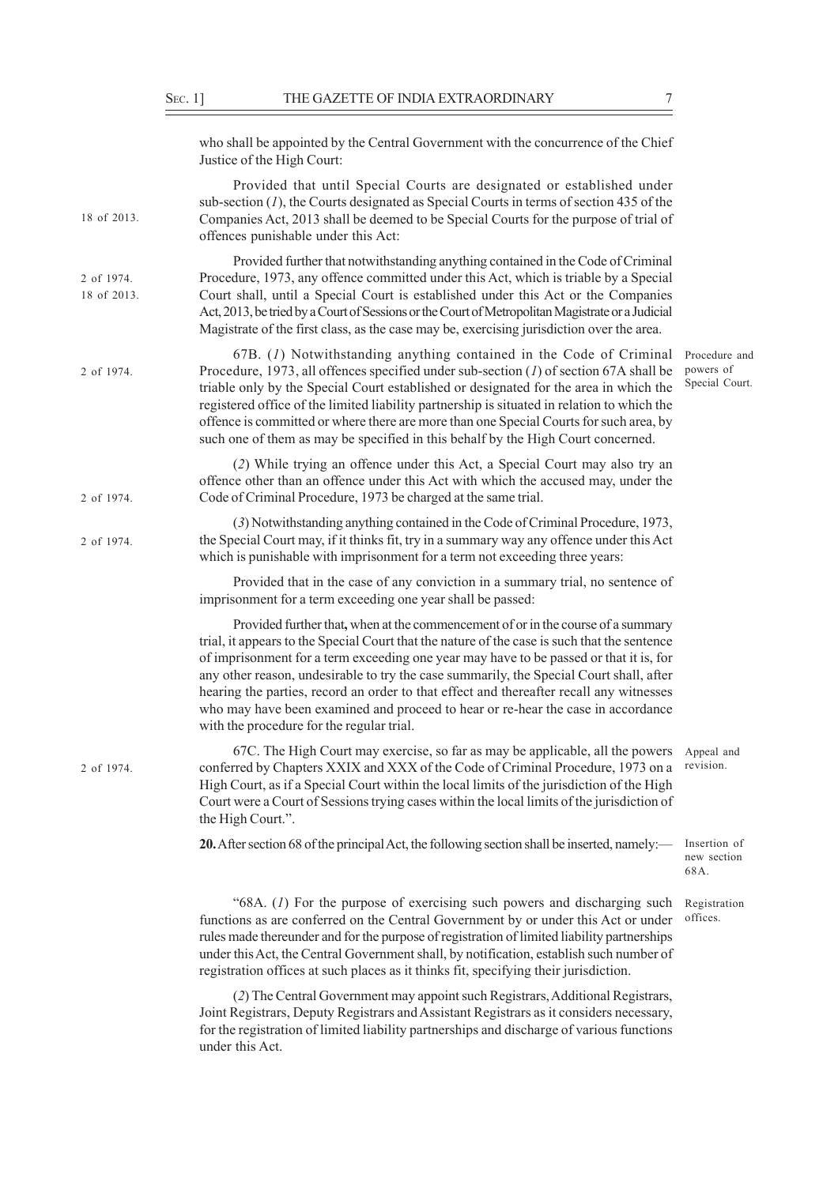|                           | who shall be appointed by the Central Government with the concurrence of the Chief<br>Justice of the High Court:                                                                                                                                                                                                                                                                                                                                                                                                                                                                                  |                                              |
|---------------------------|---------------------------------------------------------------------------------------------------------------------------------------------------------------------------------------------------------------------------------------------------------------------------------------------------------------------------------------------------------------------------------------------------------------------------------------------------------------------------------------------------------------------------------------------------------------------------------------------------|----------------------------------------------|
| 18 of 2013.               | Provided that until Special Courts are designated or established under<br>sub-section $(1)$ , the Courts designated as Special Courts in terms of section 435 of the<br>Companies Act, 2013 shall be deemed to be Special Courts for the purpose of trial of<br>offences punishable under this Act:                                                                                                                                                                                                                                                                                               |                                              |
| 2 of 1974.<br>18 of 2013. | Provided further that notwithstanding anything contained in the Code of Criminal<br>Procedure, 1973, any offence committed under this Act, which is triable by a Special<br>Court shall, until a Special Court is established under this Act or the Companies<br>Act, 2013, be tried by a Court of Sessions or the Court of Metropolitan Magistrate or a Judicial<br>Magistrate of the first class, as the case may be, exercising jurisdiction over the area.                                                                                                                                    |                                              |
| 2 of 1974.                | $67B.$ (1) Notwithstanding anything contained in the Code of Criminal<br>Procedure, 1973, all offences specified under sub-section $(I)$ of section 67A shall be<br>triable only by the Special Court established or designated for the area in which the<br>registered office of the limited liability partnership is situated in relation to which the<br>offence is committed or where there are more than one Special Courts for such area, by<br>such one of them as may be specified in this behalf by the High Court concerned.                                                            | Procedure and<br>powers of<br>Special Court. |
| 2 of 1974.                | (2) While trying an offence under this Act, a Special Court may also try an<br>offence other than an offence under this Act with which the accused may, under the<br>Code of Criminal Procedure, 1973 be charged at the same trial.                                                                                                                                                                                                                                                                                                                                                               |                                              |
| 2 of 1974.                | (3) Notwithstanding anything contained in the Code of Criminal Procedure, 1973,<br>the Special Court may, if it thinks fit, try in a summary way any offence under this Act<br>which is punishable with imprisonment for a term not exceeding three years:                                                                                                                                                                                                                                                                                                                                        |                                              |
|                           | Provided that in the case of any conviction in a summary trial, no sentence of<br>imprisonment for a term exceeding one year shall be passed:                                                                                                                                                                                                                                                                                                                                                                                                                                                     |                                              |
|                           | Provided further that, when at the commencement of or in the course of a summary<br>trial, it appears to the Special Court that the nature of the case is such that the sentence<br>of imprisonment for a term exceeding one year may have to be passed or that it is, for<br>any other reason, undesirable to try the case summarily, the Special Court shall, after<br>hearing the parties, record an order to that effect and thereafter recall any witnesses<br>who may have been examined and proceed to hear or re-hear the case in accordance<br>with the procedure for the regular trial. |                                              |
| 2 of 1974.                | 67C. The High Court may exercise, so far as may be applicable, all the powers Appeal and<br>conferred by Chapters XXIX and XXX of the Code of Criminal Procedure, 1973 on a<br>High Court, as if a Special Court within the local limits of the jurisdiction of the High<br>Court were a Court of Sessions trying cases within the local limits of the jurisdiction of<br>the High Court.".                                                                                                                                                                                                       | revision.                                    |
|                           | 20. After section 68 of the principal Act, the following section shall be inserted, namely:—                                                                                                                                                                                                                                                                                                                                                                                                                                                                                                      | Insertion of<br>new section<br>68A.          |
|                           | "68A. (1) For the purpose of exercising such powers and discharging such<br>functions as are conferred on the Central Government by or under this Act or under<br>rules made thereunder and for the purpose of registration of limited liability partnerships<br>under this Act, the Central Government shall, by notification, establish such number of<br>registration offices at such places as it thinks fit, specifying their jurisdiction.                                                                                                                                                  | Registration<br>offices.                     |

(*2*) The Central Government may appoint such Registrars, Additional Registrars, Joint Registrars, Deputy Registrars and Assistant Registrars as it considers necessary, for the registration of limited liability partnerships and discharge of various functions under this Act.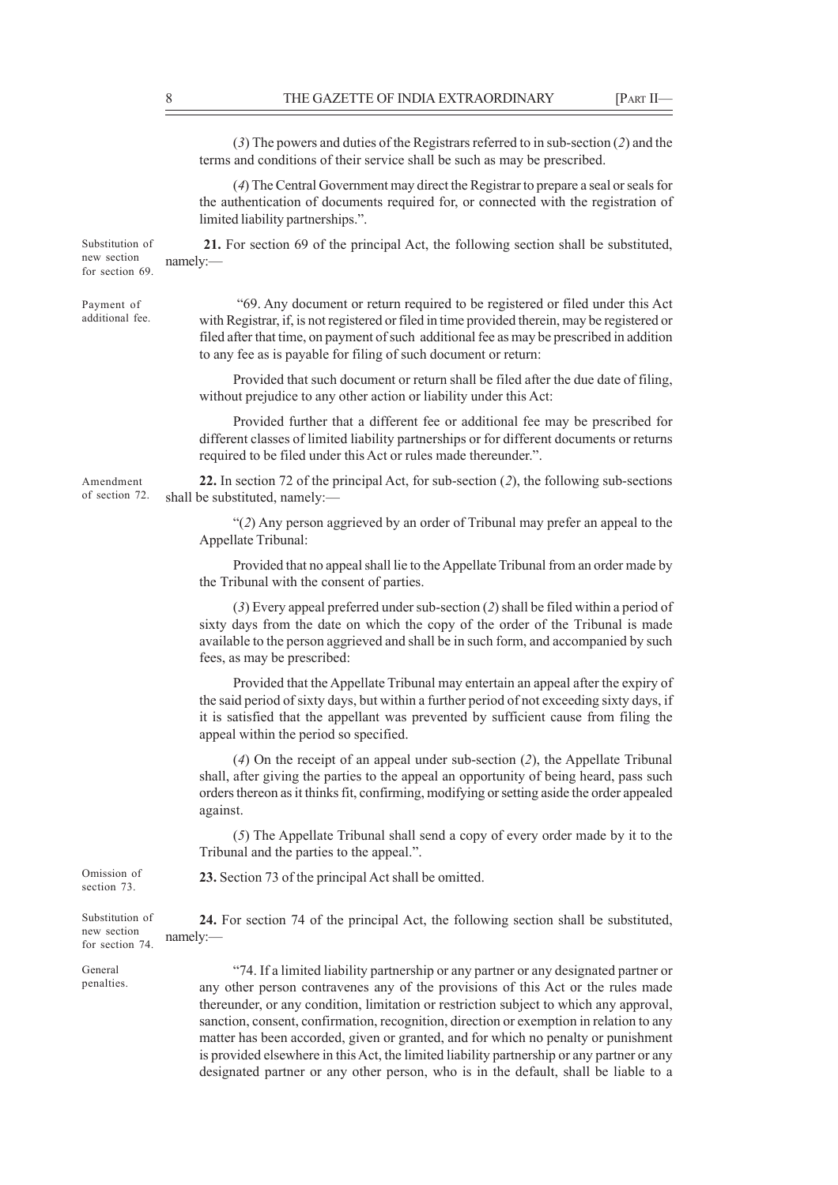(*3*) The powers and duties of the Registrars referred to in sub-section (*2*) and the terms and conditions of their service shall be such as may be prescribed. (*4*) The Central Government may direct the Registrar to prepare a seal or seals for the authentication of documents required for, or connected with the registration of limited liability partnerships.". **21.** For section 69 of the principal Act, the following section shall be substituted, namely:— "69. Any document or return required to be registered or filed under this Act with Registrar, if, is not registered or filed in time provided therein, may be registered or filed after that time, on payment of such additional fee as may be prescribed in addition to any fee as is payable for filing of such document or return: Provided that such document or return shall be filed after the due date of filing, without prejudice to any other action or liability under this Act: Provided further that a different fee or additional fee may be prescribed for different classes of limited liability partnerships or for different documents or returns required to be filed under this Act or rules made thereunder.". **22.** In section 72 of the principal Act, for sub-section (*2*), the following sub-sections shall be substituted, namely:— "(*2*) Any person aggrieved by an order of Tribunal may prefer an appeal to the Appellate Tribunal: Provided that no appeal shall lie to the Appellate Tribunal from an order made by the Tribunal with the consent of parties. (*3*) Every appeal preferred under sub-section (*2*) shall be filed within a period of sixty days from the date on which the copy of the order of the Tribunal is made available to the person aggrieved and shall be in such form, and accompanied by such fees, as may be prescribed: Provided that the Appellate Tribunal may entertain an appeal after the expiry of the said period of sixty days, but within a further period of not exceeding sixty days, if it is satisfied that the appellant was prevented by sufficient cause from filing the appeal within the period so specified. (*4*) On the receipt of an appeal under sub-section (*2*), the Appellate Tribunal shall, after giving the parties to the appeal an opportunity of being heard, pass such orders thereon as it thinks fit, confirming, modifying or setting aside the order appealed against. (*5*) The Appellate Tribunal shall send a copy of every order made by it to the Tribunal and the parties to the appeal.". **23.** Section 73 of the principal Act shall be omitted. **24.** For section 74 of the principal Act, the following section shall be substituted, namely:— "74. If a limited liability partnership or any partner or any designated partner or Substitution of new section for section 69. Payment of additional fee. Amendment of section 72. Omission of section 73. Substitution of new section for section 74. General penalties.

any other person contravenes any of the provisions of this Act or the rules made thereunder, or any condition, limitation or restriction subject to which any approval, sanction, consent, confirmation, recognition, direction or exemption in relation to any matter has been accorded, given or granted, and for which no penalty or punishment is provided elsewhere in this Act, the limited liability partnership or any partner or any designated partner or any other person, who is in the default, shall be liable to a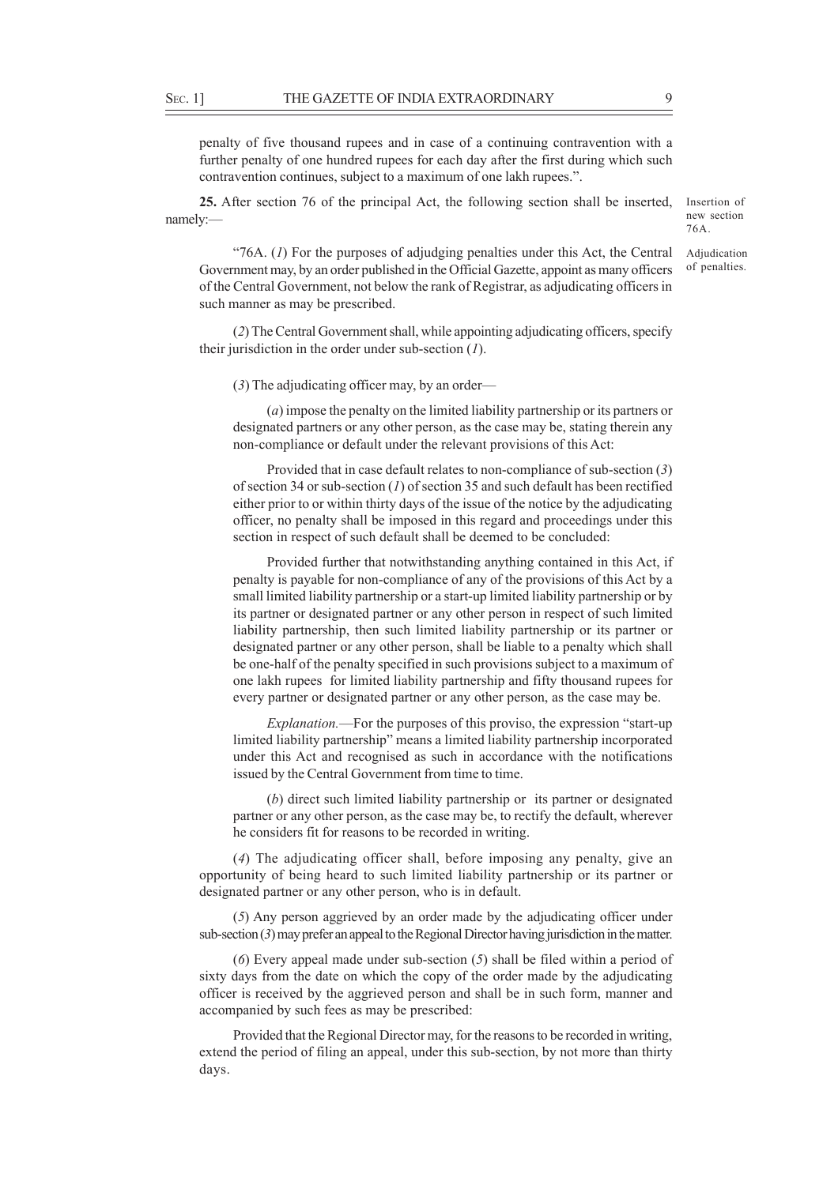penalty of five thousand rupees and in case of a continuing contravention with a further penalty of one hundred rupees for each day after the first during which such contravention continues, subject to a maximum of one lakh rupees.".

**25.** After section 76 of the principal Act, the following section shall be inserted, namely:—

Insertion of new section 76A.

Adjudication of penalties.

"76A. (*1*) For the purposes of adjudging penalties under this Act, the Central Government may, by an order published in the Official Gazette, appoint as many officers of the Central Government, not below the rank of Registrar, as adjudicating officers in such manner as may be prescribed.

(*2*) The Central Government shall, while appointing adjudicating officers, specify their jurisdiction in the order under sub-section (*1*).

(*3*) The adjudicating officer may, by an order—

(*a*) impose the penalty on the limited liability partnership or its partners or designated partners or any other person, as the case may be, stating therein any non-compliance or default under the relevant provisions of this Act:

Provided that in case default relates to non-compliance of sub-section (*3*) of section 34 or sub-section (*1*) of section 35 and such default has been rectified either prior to or within thirty days of the issue of the notice by the adjudicating officer, no penalty shall be imposed in this regard and proceedings under this section in respect of such default shall be deemed to be concluded:

Provided further that notwithstanding anything contained in this Act, if penalty is payable for non-compliance of any of the provisions of this Act by a small limited liability partnership or a start-up limited liability partnership or by its partner or designated partner or any other person in respect of such limited liability partnership, then such limited liability partnership or its partner or designated partner or any other person, shall be liable to a penalty which shall be one-half of the penalty specified in such provisions subject to a maximum of one lakh rupees for limited liability partnership and fifty thousand rupees for every partner or designated partner or any other person, as the case may be.

*Explanation.*—For the purposes of this proviso, the expression "start-up limited liability partnership" means a limited liability partnership incorporated under this Act and recognised as such in accordance with the notifications issued by the Central Government from time to time.

(*b*) direct such limited liability partnership or its partner or designated partner or any other person, as the case may be, to rectify the default, wherever he considers fit for reasons to be recorded in writing.

(*4*) The adjudicating officer shall, before imposing any penalty, give an opportunity of being heard to such limited liability partnership or its partner or designated partner or any other person, who is in default.

(*5*) Any person aggrieved by an order made by the adjudicating officer under sub-section (*3*) may prefer an appeal to the Regional Director having jurisdiction in the matter.

(*6*) Every appeal made under sub-section (*5*) shall be filed within a period of sixty days from the date on which the copy of the order made by the adjudicating officer is received by the aggrieved person and shall be in such form, manner and accompanied by such fees as may be prescribed:

Provided that the Regional Director may, for the reasons to be recorded in writing, extend the period of filing an appeal, under this sub-section, by not more than thirty days.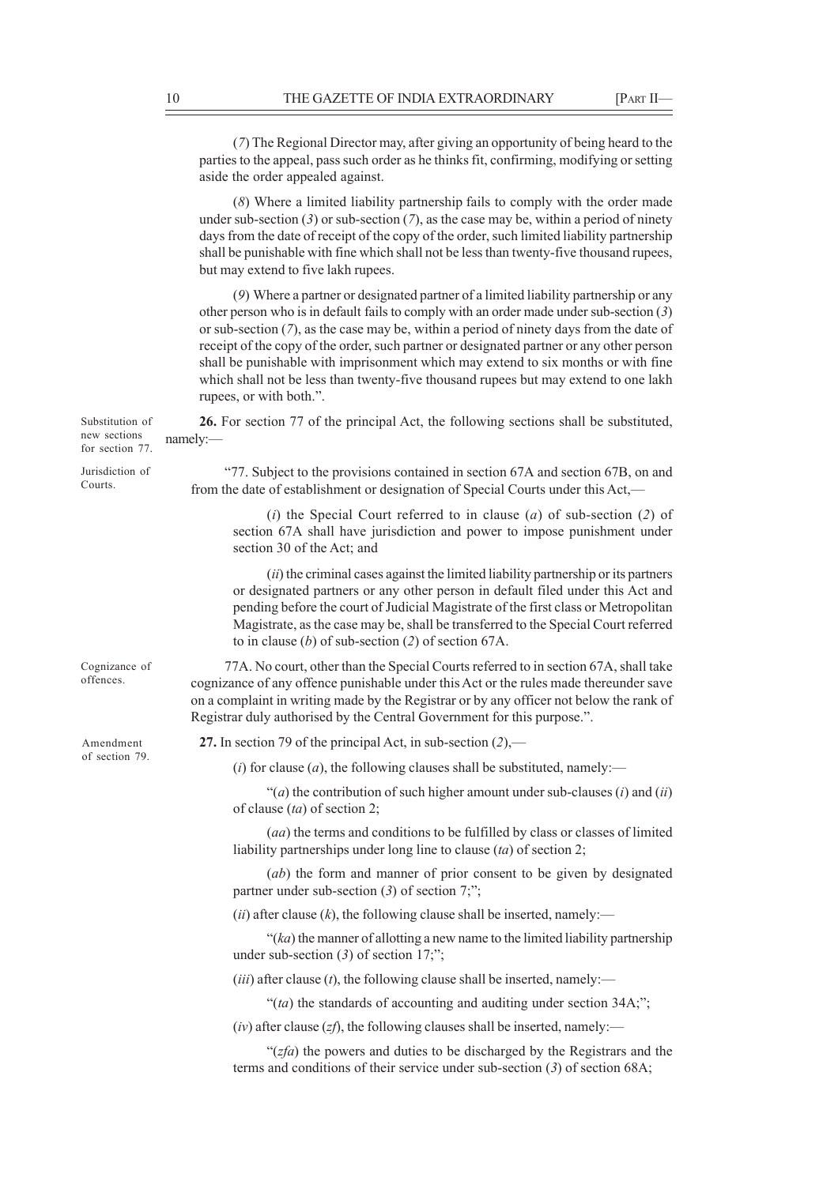|                                                    | (7) The Regional Director may, after giving an opportunity of being heard to the<br>parties to the appeal, pass such order as he thinks fit, confirming, modifying or setting<br>aside the order appealed against.                                                                                                                                                                                                                                                                                                                                                              |
|----------------------------------------------------|---------------------------------------------------------------------------------------------------------------------------------------------------------------------------------------------------------------------------------------------------------------------------------------------------------------------------------------------------------------------------------------------------------------------------------------------------------------------------------------------------------------------------------------------------------------------------------|
|                                                    | (8) Where a limited liability partnership fails to comply with the order made<br>under sub-section $(3)$ or sub-section $(7)$ , as the case may be, within a period of ninety<br>days from the date of receipt of the copy of the order, such limited liability partnership<br>shall be punishable with fine which shall not be less than twenty-five thousand rupees,<br>but may extend to five lakh rupees.                                                                                                                                                                   |
|                                                    | (9) Where a partner or designated partner of a limited liability partnership or any<br>other person who is in default fails to comply with an order made under sub-section (3)<br>or sub-section $(7)$ , as the case may be, within a period of ninety days from the date of<br>receipt of the copy of the order, such partner or designated partner or any other person<br>shall be punishable with imprisonment which may extend to six months or with fine<br>which shall not be less than twenty-five thousand rupees but may extend to one lakh<br>rupees, or with both.". |
| Substitution of<br>new sections<br>for section 77. | 26. For section 77 of the principal Act, the following sections shall be substituted,<br>namely:                                                                                                                                                                                                                                                                                                                                                                                                                                                                                |
| Jurisdiction of<br>Courts.                         | "77. Subject to the provisions contained in section 67A and section 67B, on and<br>from the date of establishment or designation of Special Courts under this Act,—                                                                                                                                                                                                                                                                                                                                                                                                             |
|                                                    | (i) the Special Court referred to in clause (a) of sub-section (2) of<br>section 67A shall have jurisdiction and power to impose punishment under<br>section 30 of the Act; and                                                                                                                                                                                                                                                                                                                                                                                                 |
|                                                    | (ii) the criminal cases against the limited liability partnership or its partners<br>or designated partners or any other person in default filed under this Act and<br>pending before the court of Judicial Magistrate of the first class or Metropolitan<br>Magistrate, as the case may be, shall be transferred to the Special Court referred<br>to in clause (b) of sub-section (2) of section 67A.                                                                                                                                                                          |
| Cognizance of<br>offences.                         | 77A. No court, other than the Special Courts referred to in section 67A, shall take<br>cognizance of any offence punishable under this Act or the rules made thereunder save<br>on a complaint in writing made by the Registrar or by any officer not below the rank of<br>Registrar duly authorised by the Central Government for this purpose.".                                                                                                                                                                                                                              |
| Amendment<br>of section 79.                        | 27. In section 79 of the principal Act, in sub-section $(2)$ ,—                                                                                                                                                                                                                                                                                                                                                                                                                                                                                                                 |
|                                                    | (i) for clause (a), the following clauses shall be substituted, namely:—                                                                                                                                                                                                                                                                                                                                                                                                                                                                                                        |
|                                                    | "(a) the contribution of such higher amount under sub-clauses (i) and (ii)<br>of clause $(ta)$ of section 2;                                                                                                                                                                                                                                                                                                                                                                                                                                                                    |
|                                                    | (aa) the terms and conditions to be fulfilled by class or classes of limited<br>liability partnerships under long line to clause $(ta)$ of section 2;                                                                                                                                                                                                                                                                                                                                                                                                                           |
|                                                    | (ab) the form and manner of prior consent to be given by designated<br>partner under sub-section $(3)$ of section 7;";                                                                                                                                                                                                                                                                                                                                                                                                                                                          |
|                                                    | (ii) after clause (k), the following clause shall be inserted, namely:—                                                                                                                                                                                                                                                                                                                                                                                                                                                                                                         |
|                                                    | " $(ka)$ the manner of allotting a new name to the limited liability partnership<br>under sub-section $(3)$ of section 17;";                                                                                                                                                                                                                                                                                                                                                                                                                                                    |
|                                                    | ( <i>iii</i> ) after clause ( <i>t</i> ), the following clause shall be inserted, namely:—                                                                                                                                                                                                                                                                                                                                                                                                                                                                                      |
|                                                    | "(ta) the standards of accounting and auditing under section $34A$ ;";                                                                                                                                                                                                                                                                                                                                                                                                                                                                                                          |
|                                                    | $(iv)$ after clause (zf), the following clauses shall be inserted, namely:—                                                                                                                                                                                                                                                                                                                                                                                                                                                                                                     |
|                                                    | " $(zfa)$ the powers and duties to be discharged by the Registrars and the<br>terms and conditions of their service under sub-section $(3)$ of section 68A;                                                                                                                                                                                                                                                                                                                                                                                                                     |
|                                                    |                                                                                                                                                                                                                                                                                                                                                                                                                                                                                                                                                                                 |